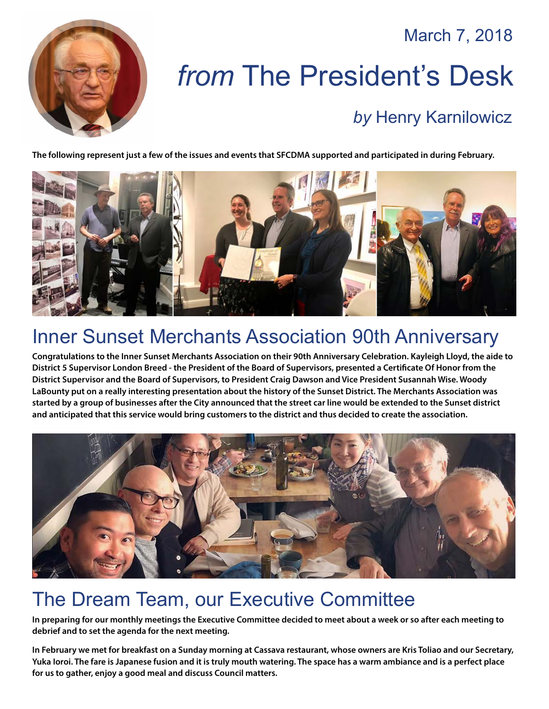March 7, 2018



# *from* The President's Desk *by* [Henry Karnilowicz](mailto:henry@sfcdma.org)

#### **The following represent just a few of the issues and events that SFCDMA supported and participated in during February.**



# Inner Sunset Merchants Association 90th Anniversary

**Congratulations to the Inner Sunset Merchants Association on their 90th Anniversary Celebration. Kayleigh Lloyd, the aide to District 5 Supervisor London Breed - the President of the Board of Supervisors, presented a Certificate Of Honor from the District Supervisor and the Board of Supervisors, to President Craig Dawson and Vice President Susannah Wise. Woody LaBounty put on a really interesting presentation about the history of the Sunset District. The Merchants Association was started by a group of businesses after the City announced that the street car line would be extended to the Sunset district and anticipated that this service would bring customers to the district and thus decided to create the association.**



## The Dream Team, our Executive Committee

**In preparing for our monthly meetings the Executive Committee decided to meet about a week or so after each meeting to debrief and to set the agenda for the next meeting.**

**In February we met for breakfast on a Sunday morning at Cassava restaurant, whose owners are Kris Toliao and our Secretary, Yuka Ioroi. The fare is Japanese fusion and it is truly mouth watering. The space has a warm ambiance and is a perfect place for us to gather, enjoy a good meal and discuss Council matters.**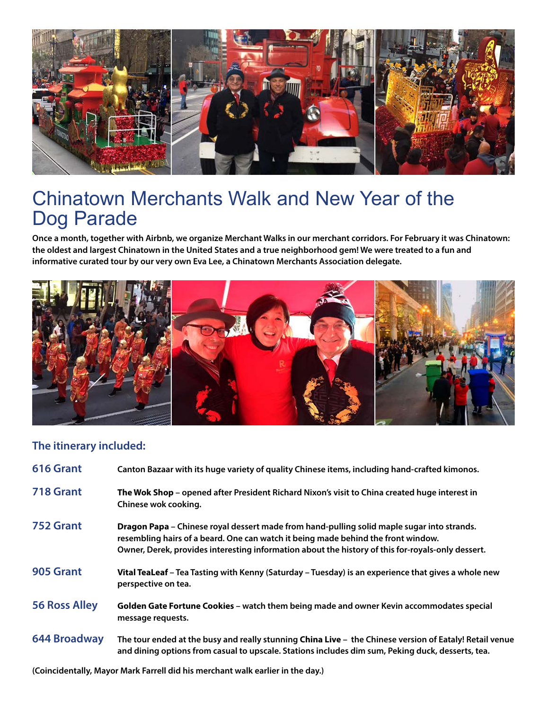

### Chinatown Merchants Walk and New Year of the Dog Parade

**Once a month, together with Airbnb, we organize Merchant Walks in our merchant corridors. For February it was Chinatown: the oldest and largest Chinatown in the United States and a true neighborhood gem! We were treated to a fun and informative curated tour by our very own Eva Lee, a Chinatown Merchants Association delegate.**



### **The itinerary included:**

| 616 Grant            | Canton Bazaar with its huge variety of quality Chinese items, including hand-crafted kimonos.                                                                                                                                                                                        |
|----------------------|--------------------------------------------------------------------------------------------------------------------------------------------------------------------------------------------------------------------------------------------------------------------------------------|
| 718 Grant            | The Wok Shop – opened after President Richard Nixon's visit to China created huge interest in<br>Chinese wok cooking.                                                                                                                                                                |
| 752 Grant            | Dragon Papa – Chinese royal dessert made from hand-pulling solid maple sugar into strands.<br>resembling hairs of a beard. One can watch it being made behind the front window.<br>Owner, Derek, provides interesting information about the history of this for-royals-only dessert. |
| 905 Grant            | Vital TeaLeaf - Tea Tasting with Kenny (Saturday - Tuesday) is an experience that gives a whole new<br>perspective on tea.                                                                                                                                                           |
| <b>56 Ross Alley</b> | Golden Gate Fortune Cookies - watch them being made and owner Kevin accommodates special<br>message requests.                                                                                                                                                                        |
| <b>644 Broadway</b>  | The tour ended at the busy and really stunning China Live - the Chinese version of Eataly! Retail venue<br>and dining options from casual to upscale. Stations includes dim sum, Peking duck, desserts, tea.                                                                         |

**(Coincidentally, Mayor Mark Farrell did his merchant walk earlier in the day.)**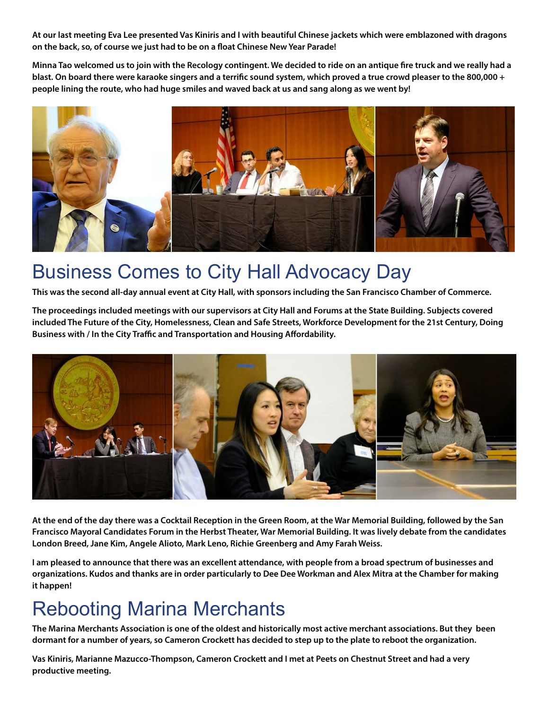**At our last meeting Eva Lee presented Vas Kiniris and I with beautiful Chinese jackets which were emblazoned with dragons on the back, so, of course we just had to be on a float Chinese New Year Parade!** 

**Minna Tao welcomed us to join with the Recology contingent. We decided to ride on an antique fire truck and we really had a blast. On board there were karaoke singers and a terrific sound system, which proved a true crowd pleaser to the 800,000 + people lining the route, who had huge smiles and waved back at us and sang along as we went by!**



### Business Comes to City Hall Advocacy Day

**This was the second all-day annual event at City Hall, with sponsors including the San Francisco Chamber of Commerce.** 

**The proceedings included meetings with our supervisors at City Hall and Forums at the State Building. Subjects covered included The Future of the City, Homelessness, Clean and Safe Streets, Workforce Development for the 21st Century, Doing Business with / In the City Traffic and Transportation and Housing Affordability.**



**At the end of the day there was a Cocktail Reception in the Green Room, at the War Memorial Building, followed by the San Francisco Mayoral Candidates Forum in the Herbst Theater, War Memorial Building. It was lively debate from the candidates London Breed, Jane Kim, Angele Alioto, Mark Leno, Richie Greenberg and Amy Farah Weiss.**

**I am pleased to announce that there was an excellent attendance, with people from a broad spectrum of businesses and organizations. Kudos and thanks are in order particularly to Dee Dee Workman and Alex Mitra at the Chamber for making it happen!**

#### Rebooting Marina Merchants

**The Marina Merchants Association is one of the oldest and historically most active merchant associations. But they been dormant for a number of years, so Cameron Crockett has decided to step up to the plate to reboot the organization.** 

**Vas Kiniris, Marianne Mazucco-Thompson, Cameron Crockett and I met at Peets on Chestnut Street and had a very productive meeting.**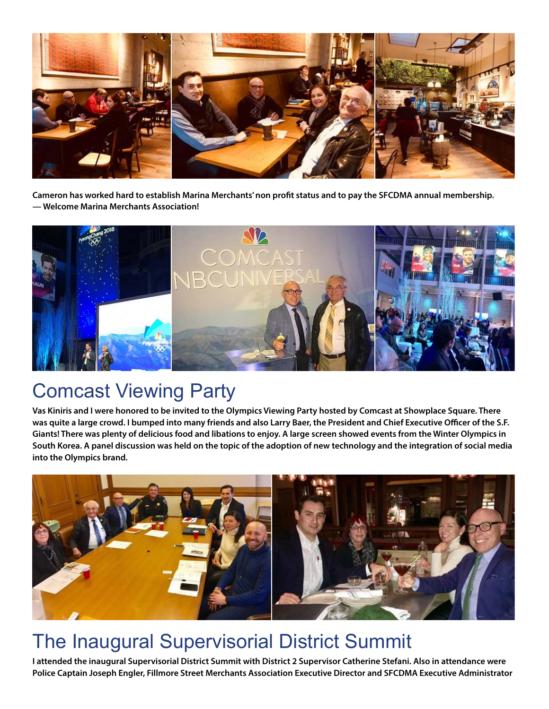

**Cameron has worked hard to establish Marina Merchants' non profit status and to pay the SFCDMA annual membership. — Welcome Marina Merchants Association!**



### Comcast Viewing Party

**Vas Kiniris and I were honored to be invited to the Olympics Viewing Party hosted by Comcast at Showplace Square. There was quite a large crowd. I bumped into many friends and also Larry Baer, the President and Chief Executive Officer of the S.F. Giants! There was plenty of delicious food and libations to enjoy. A large screen showed events from the Winter Olympics in South Korea. A panel discussion was held on the topic of the adoption of new technology and the integration of social media into the Olympics brand.**



# The Inaugural Supervisorial District Summit

**I attended the inaugural Supervisorial District Summit with District 2 Supervisor Catherine Stefani. Also in attendance were Police Captain Joseph Engler, Fillmore Street Merchants Association Executive Director and SFCDMA Executive Administrator**